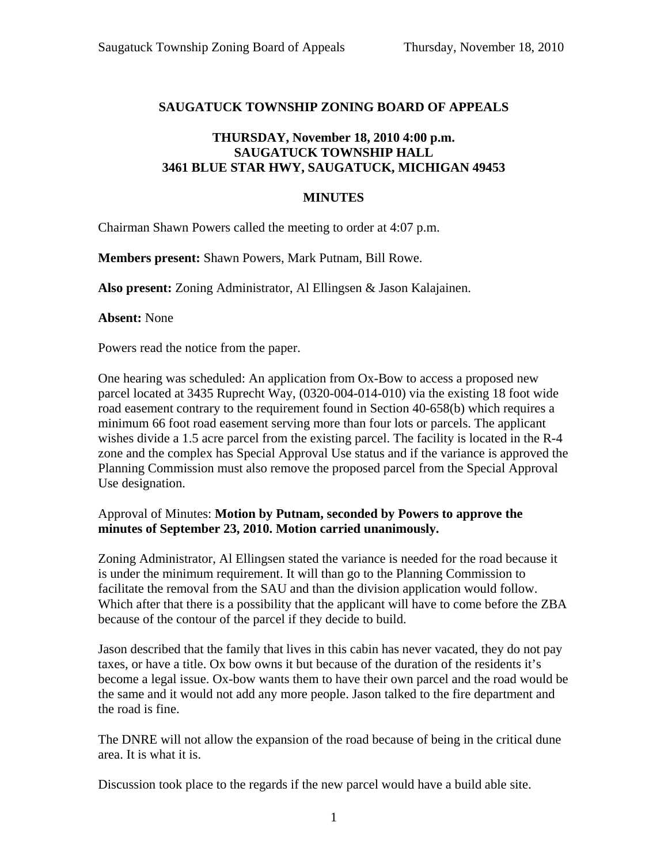## **SAUGATUCK TOWNSHIP ZONING BOARD OF APPEALS**

## **THURSDAY, November 18, 2010 4:00 p.m. SAUGATUCK TOWNSHIP HALL 3461 BLUE STAR HWY, SAUGATUCK, MICHIGAN 49453**

## **MINUTES**

Chairman Shawn Powers called the meeting to order at 4:07 p.m.

**Members present:** Shawn Powers, Mark Putnam, Bill Rowe.

**Also present:** Zoning Administrator, Al Ellingsen & Jason Kalajainen.

**Absent:** None

Powers read the notice from the paper.

One hearing was scheduled: An application from Ox-Bow to access a proposed new parcel located at 3435 Ruprecht Way, (0320-004-014-010) via the existing 18 foot wide road easement contrary to the requirement found in Section 40-658(b) which requires a minimum 66 foot road easement serving more than four lots or parcels. The applicant wishes divide a 1.5 acre parcel from the existing parcel. The facility is located in the R-4 zone and the complex has Special Approval Use status and if the variance is approved the Planning Commission must also remove the proposed parcel from the Special Approval Use designation.

## Approval of Minutes: **Motion by Putnam, seconded by Powers to approve the minutes of September 23, 2010. Motion carried unanimously.**

Zoning Administrator, Al Ellingsen stated the variance is needed for the road because it is under the minimum requirement. It will than go to the Planning Commission to facilitate the removal from the SAU and than the division application would follow. Which after that there is a possibility that the applicant will have to come before the ZBA because of the contour of the parcel if they decide to build.

Jason described that the family that lives in this cabin has never vacated, they do not pay taxes, or have a title. Ox bow owns it but because of the duration of the residents it's become a legal issue. Ox-bow wants them to have their own parcel and the road would be the same and it would not add any more people. Jason talked to the fire department and the road is fine.

The DNRE will not allow the expansion of the road because of being in the critical dune area. It is what it is.

Discussion took place to the regards if the new parcel would have a build able site.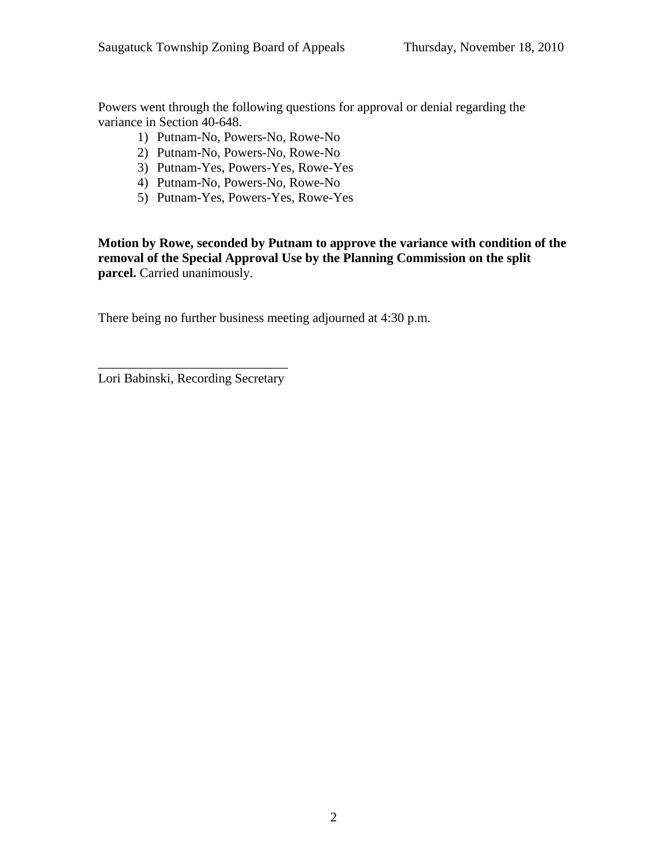Powers went through the following questions for approval or denial regarding the variance in Section 40-648.

- 1) Putnam-No, Powers-No, Rowe-No
- 2) Putnam-No, Powers-No, Rowe-No
- 3) Putnam-Yes, Powers-Yes, Rowe-Yes
- 4) Putnam-No, Powers-No, Rowe-No
- 5) Putnam-Yes, Powers-Yes, Rowe-Yes

**Motion by Rowe, seconded by Putnam to approve the variance with condition of the removal of the Special Approval Use by the Planning Commission on the split parcel.** Carried unanimously.

There being no further business meeting adjourned at 4:30 p.m.

\_\_\_\_\_\_\_\_\_\_\_\_\_\_\_\_\_\_\_\_\_\_\_\_\_\_\_\_\_ Lori Babinski, Recording Secretary